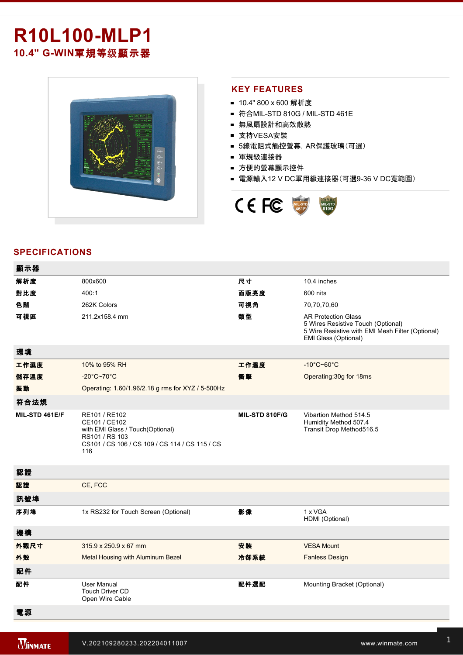# **R10L100-MLP1** 10.4" G-WIN軍規等级顯示器



#### **KEY FEATURES**

- 10.4" 800 x 600 解析度
- 符合MIL-STD 810G / MIL-STD 461E
- 無風扇設計和高效散熱
- 支持VESA安裝
- 5線電阻式觸控螢幕,AR保護玻璃(可選)
- 軍規級連接器
- 方便的螢幕顯示控件
- 電源輸入12 V DC軍用級連接器(可選9-36 V DC寬範圍)



#### **SPECIFICATIONS**

| 顯示器            |                                                                                                                                               |                |                                                                                                                                              |
|----------------|-----------------------------------------------------------------------------------------------------------------------------------------------|----------------|----------------------------------------------------------------------------------------------------------------------------------------------|
| 解析度            | 800x600                                                                                                                                       | 尺寸             | 10.4 inches                                                                                                                                  |
| 對比度            | 400:1                                                                                                                                         | 面版亮度           | 600 nits                                                                                                                                     |
| 色階             | 262K Colors                                                                                                                                   | 可視角            | 70,70,70,60                                                                                                                                  |
| 可視區            | 211.2x158.4 mm                                                                                                                                | 類型             | <b>AR Protection Glass</b><br>5 Wires Resistive Touch (Optional)<br>5 Wire Resistive with EMI Mesh Filter (Optional)<br>EMI Glass (Optional) |
| 環境             |                                                                                                                                               |                |                                                                                                                                              |
| 工作濕度           | 10% to 95% RH                                                                                                                                 | 工作溫度           | $-10^{\circ}$ C~60 $^{\circ}$ C                                                                                                              |
| 儲存溫度           | $-20^{\circ}$ C~70 $^{\circ}$ C                                                                                                               | 衝擊             | Operating: 30g for 18ms                                                                                                                      |
| 振動             | Operating: 1.60/1.96/2.18 g rms for XYZ / 5-500Hz                                                                                             |                |                                                                                                                                              |
| 符合法規           |                                                                                                                                               |                |                                                                                                                                              |
| MIL-STD 461E/F | RE101 / RE102<br>CE101 / CE102<br>with EMI Glass / Touch(Optional)<br>RS101 / RS 103<br>CS101 / CS 106 / CS 109 / CS 114 / CS 115 / CS<br>116 | MIL-STD 810F/G | Vibartion Method 514.5<br>Humidity Method 507.4<br>Transit Drop Method516.5                                                                  |
| 認證             |                                                                                                                                               |                |                                                                                                                                              |
| 認證             | CE, FCC                                                                                                                                       |                |                                                                                                                                              |
| 訊號埠            |                                                                                                                                               |                |                                                                                                                                              |
| 序列埠            | 1x RS232 for Touch Screen (Optional)                                                                                                          | 影像             | 1 x VGA<br>HDMI (Optional)                                                                                                                   |
| 機構             |                                                                                                                                               |                |                                                                                                                                              |
| 外觀尺寸           | 315.9 x 250.9 x 67 mm                                                                                                                         | 安装             | <b>VESA Mount</b>                                                                                                                            |
| 外殼             | Metal Housing with Aluminum Bezel                                                                                                             | 冷卻系統           | <b>Fanless Design</b>                                                                                                                        |
| 配件             |                                                                                                                                               |                |                                                                                                                                              |
| 配件             | <b>User Manual</b><br><b>Touch Driver CD</b><br>Open Wire Cable                                                                               | 配件選配           | Mounting Bracket (Optional)                                                                                                                  |
| 電源             |                                                                                                                                               |                |                                                                                                                                              |